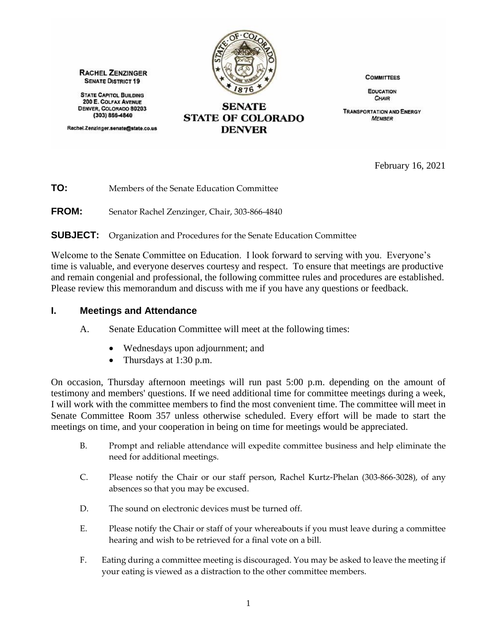

**RACHEL ZENZINGER SENATE DISTRICT 19** 

**STATE CAPITOL BUILDING** 200 E. COLFAX AVENUE DENVER, COLORADO 80203 (303) 866-4840

Rachel.Zenzinger.senate@state.co.us

**SENATE STATE OF COLORADO DENVER** 

**COMMITTEES** 

**EDUCATION** CHAIR

**TRANSPORTATION AND ENERGY MEMBER** 

February 16, 2021

**TO:** Members of the Senate Education Committee

**FROM:** Senator Rachel Zenzinger, Chair, 303-866-4840

**SUBJECT:** Organization and Procedures for the Senate Education Committee

Welcome to the Senate Committee on Education. I look forward to serving with you. Everyone's time is valuable, and everyone deserves courtesy and respect. To ensure that meetings are productive and remain congenial and professional, the following committee rules and procedures are established. Please review this memorandum and discuss with me if you have any questions or feedback.

#### **I. Meetings and Attendance**

- A. Senate Education Committee will meet at the following times:
	- Wednesdays upon adjournment; and
	- Thursdays at 1:30 p.m.

On occasion, Thursday afternoon meetings will run past 5:00 p.m. depending on the amount of testimony and members' questions. If we need additional time for committee meetings during a week, I will work with the committee members to find the most convenient time. The committee will meet in Senate Committee Room 357 unless otherwise scheduled. Every effort will be made to start the meetings on time, and your cooperation in being on time for meetings would be appreciated.

- B. Prompt and reliable attendance will expedite committee business and help eliminate the need for additional meetings.
- C. Please notify the Chair or our staff person, Rachel Kurtz-Phelan (303-866-3028), of any absences so that you may be excused.
- D. The sound on electronic devices must be turned off.
- E. Please notify the Chair or staff of your whereabouts if you must leave during a committee hearing and wish to be retrieved for a final vote on a bill.
- F. Eating during a committee meeting is discouraged. You may be asked to leave the meeting if your eating is viewed as a distraction to the other committee members.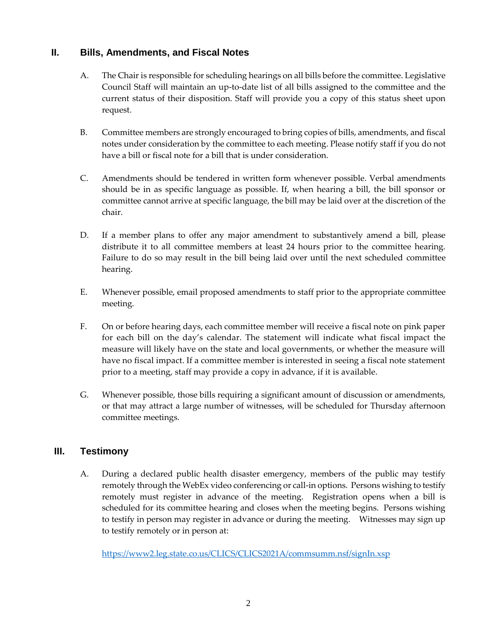## **II. Bills, Amendments, and Fiscal Notes**

- A. The Chair is responsible for scheduling hearings on all bills before the committee. Legislative Council Staff will maintain an up-to-date list of all bills assigned to the committee and the current status of their disposition. Staff will provide you a copy of this status sheet upon request.
- B. Committee members are strongly encouraged to bring copies of bills, amendments, and fiscal notes under consideration by the committee to each meeting. Please notify staff if you do not have a bill or fiscal note for a bill that is under consideration.
- C. Amendments should be tendered in written form whenever possible. Verbal amendments should be in as specific language as possible. If, when hearing a bill, the bill sponsor or committee cannot arrive at specific language, the bill may be laid over at the discretion of the chair.
- D. If a member plans to offer any major amendment to substantively amend a bill, please distribute it to all committee members at least 24 hours prior to the committee hearing. Failure to do so may result in the bill being laid over until the next scheduled committee hearing.
- E. Whenever possible, email proposed amendments to staff prior to the appropriate committee meeting.
- F. On or before hearing days, each committee member will receive a fiscal note on pink paper for each bill on the day's calendar. The statement will indicate what fiscal impact the measure will likely have on the state and local governments, or whether the measure will have no fiscal impact. If a committee member is interested in seeing a fiscal note statement prior to a meeting, staff may provide a copy in advance, if it is available.
- G. Whenever possible, those bills requiring a significant amount of discussion or amendments, or that may attract a large number of witnesses, will be scheduled for Thursday afternoon committee meetings.

### **III. Testimony**

A. During a declared public health disaster emergency, members of the public may testify remotely through the WebEx video conferencing or call-in options. Persons wishing to testify remotely must register in advance of the meeting. Registration opens when a bill is scheduled for its committee hearing and closes when the meeting begins. Persons wishing to testify in person may register in advance or during the meeting. Witnesses may sign up to testify remotely or in person at:

<https://www2.leg.state.co.us/CLICS/CLICS2021A/commsumm.nsf/signIn.xsp>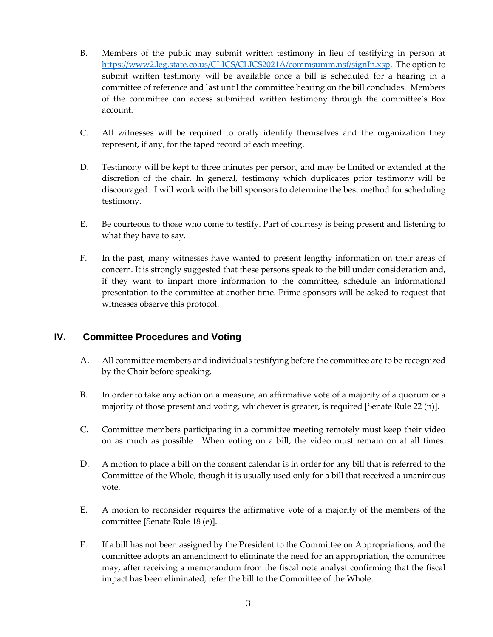- B. Members of the public may submit written testimony in lieu of testifying in person at [https://www2.leg.state.co.us/CLICS/CLICS2021A/commsumm.nsf/signIn.xsp.](https://www2.leg.state.co.us/CLICS/CLICS2021A/commsumm.nsf/signIn.xsp) The option to submit written testimony will be available once a bill is scheduled for a hearing in a committee of reference and last until the committee hearing on the bill concludes. Members of the committee can access submitted written testimony through the committee's Box account.
- C. All witnesses will be required to orally identify themselves and the organization they represent, if any, for the taped record of each meeting.
- D. Testimony will be kept to three minutes per person, and may be limited or extended at the discretion of the chair. In general, testimony which duplicates prior testimony will be discouraged. I will work with the bill sponsors to determine the best method for scheduling testimony.
- E. Be courteous to those who come to testify. Part of courtesy is being present and listening to what they have to say.
- F. In the past, many witnesses have wanted to present lengthy information on their areas of concern. It is strongly suggested that these persons speak to the bill under consideration and, if they want to impart more information to the committee, schedule an informational presentation to the committee at another time. Prime sponsors will be asked to request that witnesses observe this protocol.

### **IV. Committee Procedures and Voting**

- A. All committee members and individuals testifying before the committee are to be recognized by the Chair before speaking.
- B. In order to take any action on a measure, an affirmative vote of a majority of a quorum or a majority of those present and voting, whichever is greater, is required [Senate Rule 22 (n)].
- C. Committee members participating in a committee meeting remotely must keep their video on as much as possible. When voting on a bill, the video must remain on at all times.
- D. A motion to place a bill on the consent calendar is in order for any bill that is referred to the Committee of the Whole, though it is usually used only for a bill that received a unanimous vote.
- E. A motion to reconsider requires the affirmative vote of a majority of the members of the committee [Senate Rule 18 (e)].
- F. If a bill has not been assigned by the President to the Committee on Appropriations, and the committee adopts an amendment to eliminate the need for an appropriation, the committee may, after receiving a memorandum from the fiscal note analyst confirming that the fiscal impact has been eliminated, refer the bill to the Committee of the Whole.